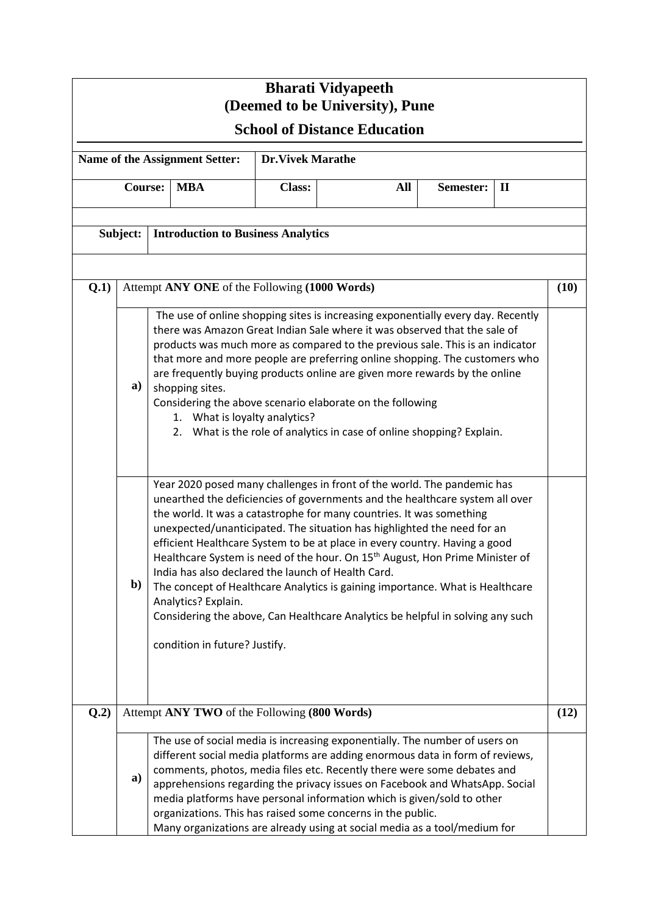| <b>Bharati Vidyapeeth</b><br>(Deemed to be University), Pune |                |                                                                                                                                                                                                                                                                                                                                                                                                                                                                                                                                                                                                       |                                                                                                            |               |                                                                                                                                                                                                                                                                                                                                                                                                                                                                                                                                                                                                                                                         |           |              |      |  |  |  |
|--------------------------------------------------------------|----------------|-------------------------------------------------------------------------------------------------------------------------------------------------------------------------------------------------------------------------------------------------------------------------------------------------------------------------------------------------------------------------------------------------------------------------------------------------------------------------------------------------------------------------------------------------------------------------------------------------------|------------------------------------------------------------------------------------------------------------|---------------|---------------------------------------------------------------------------------------------------------------------------------------------------------------------------------------------------------------------------------------------------------------------------------------------------------------------------------------------------------------------------------------------------------------------------------------------------------------------------------------------------------------------------------------------------------------------------------------------------------------------------------------------------------|-----------|--------------|------|--|--|--|
| <b>School of Distance Education</b>                          |                |                                                                                                                                                                                                                                                                                                                                                                                                                                                                                                                                                                                                       |                                                                                                            |               |                                                                                                                                                                                                                                                                                                                                                                                                                                                                                                                                                                                                                                                         |           |              |      |  |  |  |
| Name of the Assignment Setter:<br><b>Dr.Vivek Marathe</b>    |                |                                                                                                                                                                                                                                                                                                                                                                                                                                                                                                                                                                                                       |                                                                                                            |               |                                                                                                                                                                                                                                                                                                                                                                                                                                                                                                                                                                                                                                                         |           |              |      |  |  |  |
|                                                              | <b>Course:</b> |                                                                                                                                                                                                                                                                                                                                                                                                                                                                                                                                                                                                       | <b>MBA</b>                                                                                                 | <b>Class:</b> | All                                                                                                                                                                                                                                                                                                                                                                                                                                                                                                                                                                                                                                                     | Semester: | $\mathbf{I}$ |      |  |  |  |
| Subject:                                                     |                | <b>Introduction to Business Analytics</b>                                                                                                                                                                                                                                                                                                                                                                                                                                                                                                                                                             |                                                                                                            |               |                                                                                                                                                                                                                                                                                                                                                                                                                                                                                                                                                                                                                                                         |           |              |      |  |  |  |
| Q.1)                                                         |                |                                                                                                                                                                                                                                                                                                                                                                                                                                                                                                                                                                                                       | Attempt ANY ONE of the Following (1000 Words)                                                              |               |                                                                                                                                                                                                                                                                                                                                                                                                                                                                                                                                                                                                                                                         |           |              | (10) |  |  |  |
|                                                              | a)             | The use of online shopping sites is increasing exponentially every day. Recently<br>there was Amazon Great Indian Sale where it was observed that the sale of<br>products was much more as compared to the previous sale. This is an indicator<br>that more and more people are preferring online shopping. The customers who<br>are frequently buying products online are given more rewards by the online<br>shopping sites.<br>Considering the above scenario elaborate on the following<br>1. What is loyalty analytics?<br>2. What is the role of analytics in case of online shopping? Explain. |                                                                                                            |               |                                                                                                                                                                                                                                                                                                                                                                                                                                                                                                                                                                                                                                                         |           |              |      |  |  |  |
|                                                              | b)             |                                                                                                                                                                                                                                                                                                                                                                                                                                                                                                                                                                                                       | India has also declared the launch of Health Card.<br>Analytics? Explain.<br>condition in future? Justify. |               | Year 2020 posed many challenges in front of the world. The pandemic has<br>unearthed the deficiencies of governments and the healthcare system all over<br>the world. It was a catastrophe for many countries. It was something<br>unexpected/unanticipated. The situation has highlighted the need for an<br>efficient Healthcare System to be at place in every country. Having a good<br>Healthcare System is need of the hour. On 15 <sup>th</sup> August, Hon Prime Minister of<br>The concept of Healthcare Analytics is gaining importance. What is Healthcare<br>Considering the above, Can Healthcare Analytics be helpful in solving any such |           |              |      |  |  |  |
| Q.2)                                                         |                | Attempt ANY TWO of the Following (800 Words)<br>(12)                                                                                                                                                                                                                                                                                                                                                                                                                                                                                                                                                  |                                                                                                            |               |                                                                                                                                                                                                                                                                                                                                                                                                                                                                                                                                                                                                                                                         |           |              |      |  |  |  |
|                                                              | a)             |                                                                                                                                                                                                                                                                                                                                                                                                                                                                                                                                                                                                       |                                                                                                            |               | The use of social media is increasing exponentially. The number of users on<br>different social media platforms are adding enormous data in form of reviews,<br>comments, photos, media files etc. Recently there were some debates and<br>apprehensions regarding the privacy issues on Facebook and WhatsApp. Social<br>media platforms have personal information which is given/sold to other<br>organizations. This has raised some concerns in the public.<br>Many organizations are already using at social media as a tool/medium for                                                                                                            |           |              |      |  |  |  |